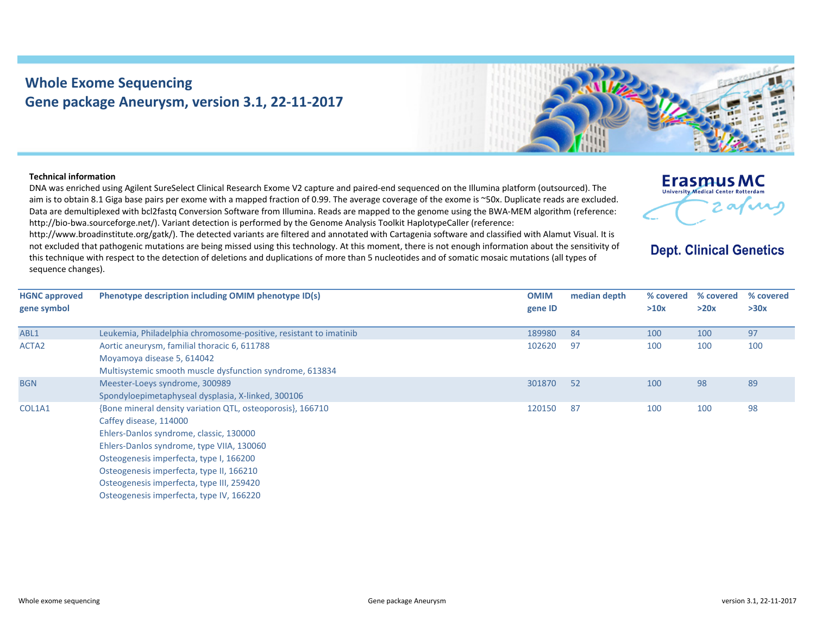## **Whole Exome Sequencing Gene package Aneurysm, version 3.1, 22‐11‐2017**



## **Technical information**

DNA was enriched using Agilent SureSelect Clinical Research Exome V2 capture and paired‐end sequenced on the Illumina platform (outsourced). The aim is to obtain 8.1 Giga base pairs per exome with <sup>a</sup> mapped fraction of 0.99. The average coverage of the exome is ~50x. Duplicate reads are excluded. Data are demultiplexed with bcl2fastq Conversion Software from Illumina. Reads are mapped to the genome using the BWA‐MEM algorithm (reference: http://bio-bwa.sourceforge.net/). Variant detection is performed by the Genome Analysis Toolkit HaplotypeCaller (reference:

http://www.broadinstitute.org/gatk/). The detected variants are filtered and annotated with Cartagenia software and classified with Alamut Visual. It is not excluded that pathogenic mutations are being missed using this technology. At this moment, there is not enough information about the sensitivity of this technique with respect to the detection of deletions and duplications of more than 5 nucleotides and of somatic mosaic mutations (all types of sequence changes).

| Erasmus MC                                 |
|--------------------------------------------|
| <b>University Medical Center Rotterdam</b> |
|                                            |
|                                            |

**Dept. Clinical Genetics** 

| <b>HGNC approved</b> | Phenotype description including OMIM phenotype ID(s)              | <b>OMIM</b> | median depth | % covered | % covered | % covered |
|----------------------|-------------------------------------------------------------------|-------------|--------------|-----------|-----------|-----------|
| gene symbol          |                                                                   | gene ID     |              | >10x      | >20x      | >30x      |
|                      |                                                                   |             |              |           |           |           |
| ABL1                 | Leukemia, Philadelphia chromosome-positive, resistant to imatinib | 189980      | 84           | 100       | 100       | 97        |
| ACTA2                | Aortic aneurysm, familial thoracic 6, 611788                      | 102620      | 97           | 100       | 100       | 100       |
|                      | Moyamoya disease 5, 614042                                        |             |              |           |           |           |
|                      | Multisystemic smooth muscle dysfunction syndrome, 613834          |             |              |           |           |           |
| <b>BGN</b>           | Meester-Loeys syndrome, 300989                                    | 301870      | 52           | 100       | 98        | 89        |
|                      | Spondyloepimetaphyseal dysplasia, X-linked, 300106                |             |              |           |           |           |
| COL1A1               | {Bone mineral density variation QTL, osteoporosis}, 166710        | 120150      | 87           | 100       | 100       | 98        |
|                      | Caffey disease, 114000                                            |             |              |           |           |           |
|                      | Ehlers-Danlos syndrome, classic, 130000                           |             |              |           |           |           |
|                      | Ehlers-Danlos syndrome, type VIIA, 130060                         |             |              |           |           |           |
|                      | Osteogenesis imperfecta, type I, 166200                           |             |              |           |           |           |
|                      | Osteogenesis imperfecta, type II, 166210                          |             |              |           |           |           |
|                      | Osteogenesis imperfecta, type III, 259420                         |             |              |           |           |           |
|                      | Osteogenesis imperfecta, type IV, 166220                          |             |              |           |           |           |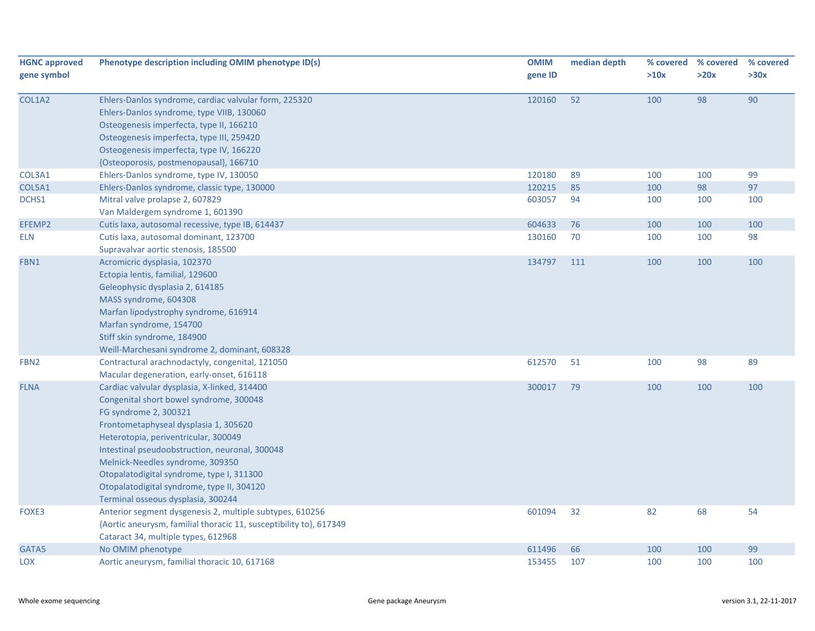| <b>HGNC approved</b> | Phenotype description including OMIM phenotype ID(s)               | <b>OMIM</b> | median depth | % covered | % covered | % covered |
|----------------------|--------------------------------------------------------------------|-------------|--------------|-----------|-----------|-----------|
| gene symbol          |                                                                    | gene ID     |              | >10x      | >20x      | >30x      |
| COL1A2               | Ehlers-Danlos syndrome, cardiac valvular form, 225320              | 120160      | 52           | 100       | 98        | 90        |
|                      | Ehlers-Danlos syndrome, type VIIB, 130060                          |             |              |           |           |           |
|                      | Osteogenesis imperfecta, type II, 166210                           |             |              |           |           |           |
|                      | Osteogenesis imperfecta, type III, 259420                          |             |              |           |           |           |
|                      | Osteogenesis imperfecta, type IV, 166220                           |             |              |           |           |           |
|                      | {Osteoporosis, postmenopausal}, 166710                             |             |              |           |           |           |
| COL3A1               | Ehlers-Danlos syndrome, type IV, 130050                            | 120180      | 89           | 100       | 100       | 99        |
| COL5A1               | Ehlers-Danlos syndrome, classic type, 130000                       | 120215      | 85           | 100       | 98        | 97        |
| DCHS1                | Mitral valve prolapse 2, 607829                                    | 603057      | 94           | 100       | 100       | 100       |
|                      | Van Maldergem syndrome 1, 601390                                   |             |              |           |           |           |
| EFEMP2               | Cutis laxa, autosomal recessive, type IB, 614437                   | 604633      | 76           | 100       | 100       | 100       |
| <b>ELN</b>           | Cutis laxa, autosomal dominant, 123700                             | 130160      | 70           | 100       | 100       | 98        |
|                      | Supravalvar aortic stenosis, 185500                                |             |              |           |           |           |
| FBN1                 | Acromicric dysplasia, 102370                                       | 134797      | 111          | 100       | 100       | 100       |
|                      | Ectopia lentis, familial, 129600                                   |             |              |           |           |           |
|                      | Geleophysic dysplasia 2, 614185                                    |             |              |           |           |           |
|                      | MASS syndrome, 604308                                              |             |              |           |           |           |
|                      | Marfan lipodystrophy syndrome, 616914                              |             |              |           |           |           |
|                      | Marfan syndrome, 154700                                            |             |              |           |           |           |
|                      | Stiff skin syndrome, 184900                                        |             |              |           |           |           |
|                      | Weill-Marchesani syndrome 2, dominant, 608328                      |             |              |           |           |           |
| FBN <sub>2</sub>     | Contractural arachnodactyly, congenital, 121050                    | 612570      | 51           | 100       | 98        | 89        |
|                      | Macular degeneration, early-onset, 616118                          |             |              |           |           |           |
| <b>FLNA</b>          | Cardiac valvular dysplasia, X-linked, 314400                       | 300017      | 79           | 100       | 100       | 100       |
|                      | Congenital short bowel syndrome, 300048                            |             |              |           |           |           |
|                      | FG syndrome 2, 300321                                              |             |              |           |           |           |
|                      | Frontometaphyseal dysplasia 1, 305620                              |             |              |           |           |           |
|                      | Heterotopia, periventricular, 300049                               |             |              |           |           |           |
|                      | Intestinal pseudoobstruction, neuronal, 300048                     |             |              |           |           |           |
|                      | Melnick-Needles syndrome, 309350                                   |             |              |           |           |           |
|                      | Otopalatodigital syndrome, type I, 311300                          |             |              |           |           |           |
|                      | Otopalatodigital syndrome, type II, 304120                         |             |              |           |           |           |
|                      | Terminal osseous dysplasia, 300244                                 |             |              |           |           |           |
| FOXE3                | Anterior segment dysgenesis 2, multiple subtypes, 610256           | 601094      | 32           | 82        | 68        | 54        |
|                      | {Aortic aneurysm, familial thoracic 11, susceptibility to}, 617349 |             |              |           |           |           |
|                      | Cataract 34, multiple types, 612968                                |             |              |           |           |           |
| GATA5                | No OMIM phenotype                                                  | 611496      | 66           | 100       | 100       | 99        |
| LOX                  | Aortic aneurysm, familial thoracic 10, 617168                      | 153455      | 107          | 100       | 100       | 100       |